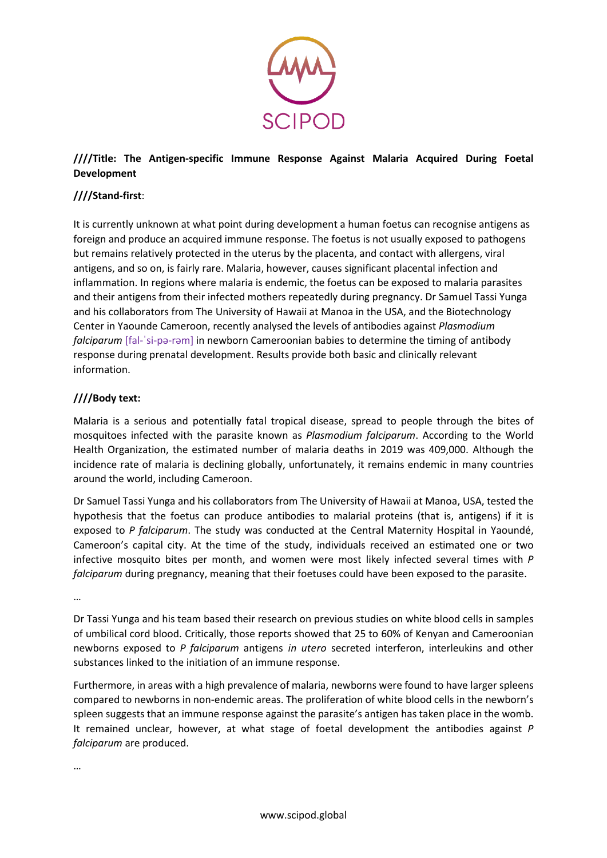

## **////Title: The Antigen-specific Immune Response Against Malaria Acquired During Foetal Development**

## **////Stand-first**:

It is currently unknown at what point during development a human foetus can recognise antigens as foreign and produce an acquired immune response. The foetus is not usually exposed to pathogens but remains relatively protected in the uterus by the placenta, and contact with allergens, viral antigens, and so on, is fairly rare. Malaria, however, causes significant placental infection and inflammation. In regions where malaria is endemic, the foetus can be exposed to malaria parasites and their antigens from their infected mothers repeatedly during pregnancy. Dr Samuel Tassi Yunga and his collaborators from The University of Hawaii at Manoa in the USA, and the Biotechnology Center in Yaounde Cameroon, recently analysed the levels of antibodies against *Plasmodium falciparum* [fal-ˈsi-pə-rəm] in newborn Cameroonian babies to determine the timing of antibody response during prenatal development. Results provide both basic and clinically relevant information.

## **////Body text:**

Malaria is a serious and potentially fatal tropical disease, spread to people through the bites of mosquitoes infected with the parasite known as *Plasmodium falciparum*. According to the World Health Organization, the estimated number of malaria deaths in 2019 was 409,000. Although the incidence rate of malaria is declining globally, unfortunately, it remains endemic in many countries around the world, including Cameroon.

Dr Samuel Tassi Yunga and his collaborators from The University of Hawaii at Manoa, USA, tested the hypothesis that the foetus can produce antibodies to malarial proteins (that is, antigens) if it is exposed to *P falciparum*. The study was conducted at the Central Maternity Hospital in Yaoundé, Cameroon's capital city. At the time of the study, individuals received an estimated one or two infective mosquito bites per month, and women were most likely infected several times with *P falciparum* during pregnancy, meaning that their foetuses could have been exposed to the parasite.

…

Dr Tassi Yunga and his team based their research on previous studies on white blood cells in samples of umbilical cord blood. Critically, those reports showed that 25 to 60% of Kenyan and Cameroonian newborns exposed to *P falciparum* antigens *in utero* secreted interferon, interleukins and other substances linked to the initiation of an immune response.

Furthermore, in areas with a high prevalence of malaria, newborns were found to have larger spleens compared to newborns in non-endemic areas. The proliferation of white blood cells in the newborn's spleen suggests that an immune response against the parasite's antigen has taken place in the womb. It remained unclear, however, at what stage of foetal development the antibodies against *P falciparum* are produced.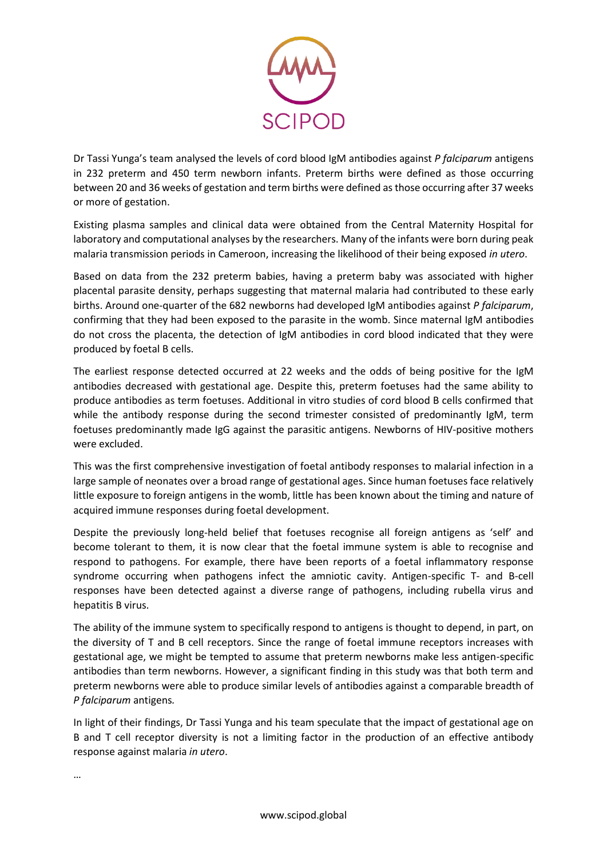

Dr Tassi Yunga's team analysed the levels of cord blood IgM antibodies against *P falciparum* antigens in 232 preterm and 450 term newborn infants. Preterm births were defined as those occurring between 20 and 36 weeks of gestation and term births were defined as those occurring after 37 weeks or more of gestation.

Existing plasma samples and clinical data were obtained from the Central Maternity Hospital for laboratory and computational analyses by the researchers. Many of the infants were born during peak malaria transmission periods in Cameroon, increasing the likelihood of their being exposed *in utero*.

Based on data from the 232 preterm babies, having a preterm baby was associated with higher placental parasite density, perhaps suggesting that maternal malaria had contributed to these early births. Around one-quarter of the 682 newborns had developed IgM antibodies against *P falciparum*, confirming that they had been exposed to the parasite in the womb. Since maternal IgM antibodies do not cross the placenta, the detection of IgM antibodies in cord blood indicated that they were produced by foetal B cells.

The earliest response detected occurred at 22 weeks and the odds of being positive for the IgM antibodies decreased with gestational age. Despite this, preterm foetuses had the same ability to produce antibodies as term foetuses. Additional in vitro studies of cord blood B cells confirmed that while the antibody response during the second trimester consisted of predominantly IgM, term foetuses predominantly made IgG against the parasitic antigens. Newborns of HIV-positive mothers were excluded.

This was the first comprehensive investigation of foetal antibody responses to malarial infection in a large sample of neonates over a broad range of gestational ages. Since human foetuses face relatively little exposure to foreign antigens in the womb, little has been known about the timing and nature of acquired immune responses during foetal development.

Despite the previously long-held belief that foetuses recognise all foreign antigens as 'self' and become tolerant to them, it is now clear that the foetal immune system is able to recognise and respond to pathogens. For example, there have been reports of a foetal inflammatory response syndrome occurring when pathogens infect the amniotic cavity. Antigen-specific T- and B-cell responses have been detected against a diverse range of pathogens, including rubella virus and hepatitis B virus.

The ability of the immune system to specifically respond to antigens is thought to depend, in part, on the diversity of T and B cell receptors. Since the range of foetal immune receptors increases with gestational age, we might be tempted to assume that preterm newborns make less antigen-specific antibodies than term newborns. However, a significant finding in this study was that both term and preterm newborns were able to produce similar levels of antibodies against a comparable breadth of *P falciparum* antigens*.*

In light of their findings, Dr Tassi Yunga and his team speculate that the impact of gestational age on B and T cell receptor diversity is not a limiting factor in the production of an effective antibody response against malaria *in utero*.

…